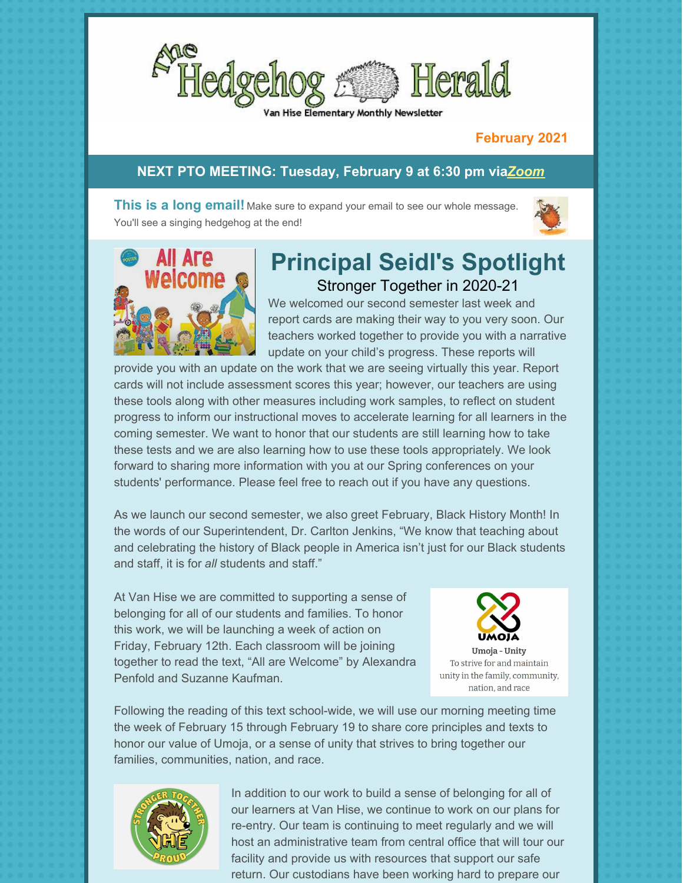

#### Hise Elementary Monthly Newsletter

## **February 2021**

## **NEXT PTO MEETING: Tuesday, February 9 at 6:30 pm via***[Zoom](https://us02web.zoom.us/j/86956046342?pwd=ZEc2L08vcG9QeWFDdHZLeTBwU0Nzdz09#success)*

**This is a long email!** Make sure to expand your email to see our whole message. You'll see a singing hedgehog at the end!





# **Principal Seidl's Spotlight** Stronger Together in 2020-21

We welcomed our second semester last week and report cards are making their way to you very soon. Our teachers worked together to provide you with a narrative update on your child's progress. These reports will

provide you with an update on the work that we are seeing virtually this year. Report cards will not include assessment scores this year; however, our teachers are using these tools along with other measures including work samples, to reflect on student progress to inform our instructional moves to accelerate learning for all learners in the coming semester. We want to honor that our students are still learning how to take these tests and we are also learning how to use these tools appropriately. We look forward to sharing more information with you at our Spring conferences on your students' performance. Please feel free to reach out if you have any questions.

As we launch our second semester, we also greet February, Black History Month! In the words of our Superintendent, Dr. Carlton Jenkins, "We know that teaching about and celebrating the history of Black people in America isn't just for our Black students and staff, it is for *all* students and staff."

At Van Hise we are committed to supporting a sense of belonging for all of our students and families. To honor this work, we will be launching a week of action on Friday, February 12th. Each classroom will be joining together to read the text, "All are Welcome" by Alexandra Penfold and Suzanne Kaufman.



Umoja - Unity To strive for and maintain unity in the family, community, nation, and race

Following the reading of this text school-wide, we will use our morning meeting time the week of February 15 through February 19 to share core principles and texts to honor our value of Umoja, or a sense of unity that strives to bring together our families, communities, nation, and race.



In addition to our work to build a sense of belonging for all of our learners at Van Hise, we continue to work on our plans for re-entry. Our team is continuing to meet regularly and we will host an administrative team from central office that will tour our facility and provide us with resources that support our safe return. Our custodians have been working hard to prepare our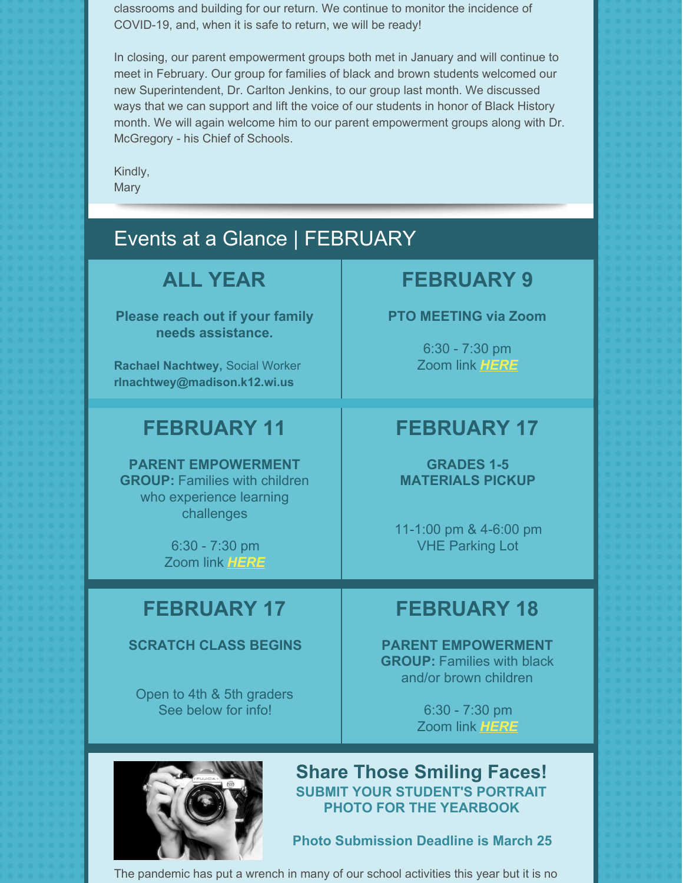classrooms and building for our return. We continue to monitor the incidence of COVID-19, and, when it is safe to return, we will be ready!

In closing, our parent empowerment groups both met in January and will continue to meet in February. Our group for families of black and brown students welcomed our new Superintendent, Dr. Carlton Jenkins, to our group last month. We discussed ways that we can support and lift the voice of our students in honor of Black History month. We will again welcome him to our parent empowerment groups along with Dr. McGregory - his Chief of Schools.

Kindly, **Mary** 

# Events at a Glance | FEBRUARY

# **ALL YEAR**

**Please reach out if your family needs assistance.**

**Rachael Nachtwey,** Social Worker **[rlnachtwey@madison.k12.wi.us](mailto:rlnachtwey@madison.k12.wi.us)**

# **FEBRUARY 11**

**PARENT EMPOWERMENT GROUP:** Families with children who experience learning challenges

> 6:30 - 7:30 pm Zoom link *[HERE](https://zoom.us/j/97186141188)*

# **FEBRUARY 9**

## **PTO MEETING via Zoom**

6:30 - 7:30 pm Zoom link *[HERE](https://us02web.zoom.us/j/86956046342?pwd=ZEc2L08vcG9QeWFDdHZLeTBwU0Nzdz09#success)*

# **FEBRUARY 17**

**GRADES 1-5 MATERIALS PICKUP**

11-1:00 pm & 4-6:00 pm VHE Parking Lot

# **FEBRUARY 17**

## **SCRATCH CLASS BEGINS**

Open to 4th & 5th graders See below for info!

# **FEBRUARY 18**

**PARENT EMPOWERMENT GROUP:** Families with black and/or brown children

> 6:30 - 7:30 pm Zoom link *[HERE](https://zoom.us/j/91012527454)*



**Share Those Smiling Faces! SUBMIT YOUR STUDENT'S PORTRAIT PHOTO FOR THE YEARBOOK**

**Photo Submission Deadline is March 25**

The pandemic has put a wrench in many of our school activities this year but it is no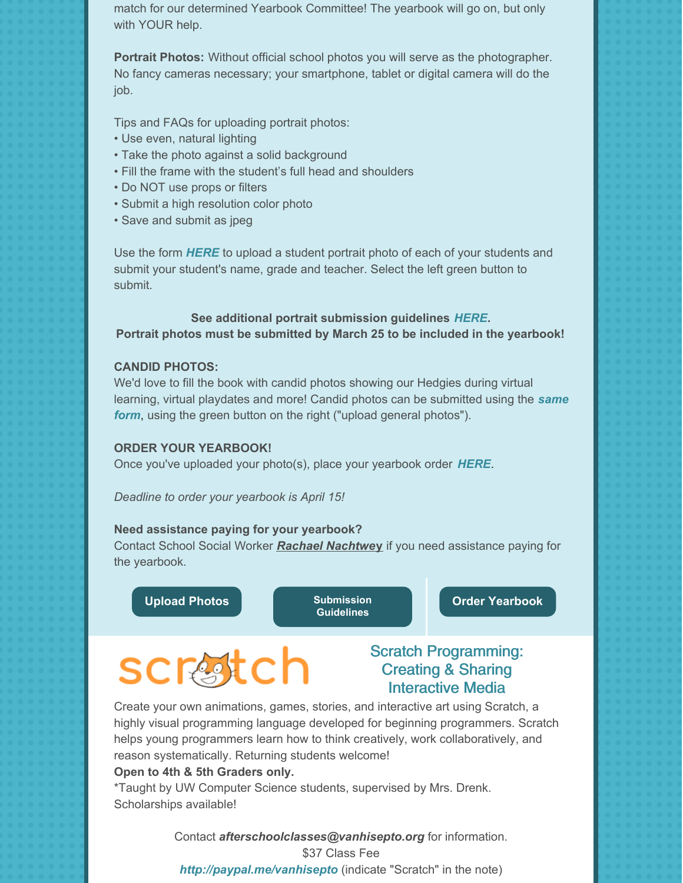match for our determined Yearbook Committee! The yearbook will go on, but only with YOUR help.

**Portrait Photos:** Without official school photos you will serve as the photographer. No fancy cameras necessary; your smartphone, tablet or digital camera will do the job.

Tips and FAQs for uploading portrait photos:

- Use even, natural lighting
- Take the photo against a solid background
- Fill the frame with the student's full head and shoulders
- Do NOT use props or filters
- Submit a high resolution color photo
- Save and submit as jpeg

Use the form *[HERE](http://www.hjeshare.com/eShare/?code=VHEphotos)* to upload a student portrait photo of each of your students and submit your student's name, grade and teacher. Select the left green button to submit.

## **See additional portrait submission guidelines** *[HERE](https://files.constantcontact.com/a35ed802501/b5678960-ea80-4101-b363-5f2cd5d6221a.pdf)***. Portrait photos must be submitted by March 25 to be included in the yearbook!**

### **CANDID PHOTOS:**

We'd love to fill the book with candid photos showing our Hedgies during virtual learning, virtual playdates and more! Candid photos can be [submitted](http://www.hjeshare.com/eShare/?code=VHEphotos) using the *same form*, using the green button on the right ("upload general photos").

### **ORDER YOUR YEARBOOK!**

Once you've uploaded your photo(s), place your yearbook order *[HERE](https://www.yearbookordercenter.com/index.cfm/job/11805)*.

*Deadline to order your yearbook is April 15!*

### **Need assistance paying for your yearbook?**

Contact School Social Worker *Rachael [Nachtwe](mailto:rlnachtwey@madison.k12.wi.us)***y** if you need assistance paying for the yearbook.

**[Upload](http://www.hjeshare.com/eShare/?code=VHEphotos) Photos Communist Communist Communist Communist Communist Communist Communist Communist Communist Communist Communist Communist Communist Communist Communist Communist Communist Communist Communist Communist Commu** 

**Guidelines**

**Order [Yearbook](https://www.yearbookordercenter.com/?event=general.displayLanding&jobnumber=11805)**

# scrはtch

## Scratch Programming: Creating & Sharing Interactive Media

Create your own animations, games, stories, and interactive art using Scratch, a highly visual programming language developed for beginning programmers. Scratch helps young programmers learn how to think creatively, work collaboratively, and reason systematically. Returning students welcome!

### **Open to 4th & 5th Graders only.**

\*Taught by UW Computer Science students, supervised by Mrs. Drenk. Scholarships available!

> Contact *[afterschoolclasses@vanhisepto.org](mailto:afterschoolclasses@vanhisepto.org)* for information. \$37 Class Fee *<http://paypal.me/vanhisepto>* (indicate "Scratch" in the note)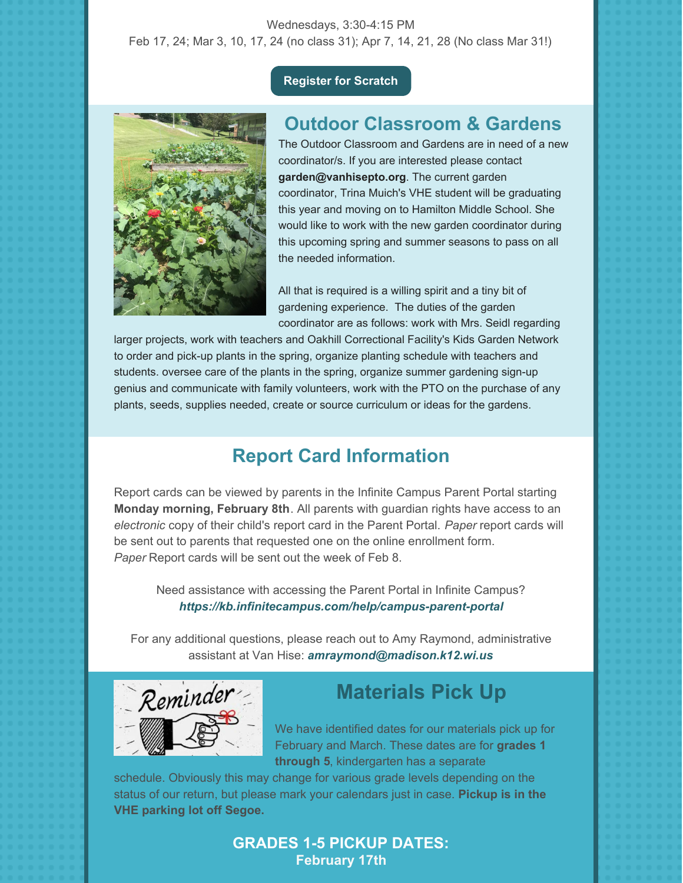## Wednesdays, 3:30-4:15 PM Feb 17, 24; Mar 3, 10, 17, 24 (no class 31); Apr 7, 14, 21, 28 (No class Mar 31!)

## **[Register](https://docs.google.com/forms/d/e/1FAIpQLSfwBDaqpVrUDFgQanFy5ix5iptbLbUPJhXQ6dW7oEE0V0yn3g/viewform?gxids=7628) for Scratch**



# **Outdoor Classroom & Gardens**

The Outdoor Classroom and Gardens are in need of a new coordinator/s. If you are interested please contact **garden@vanhisepto.org**. The current garden coordinator, Trina Muich's VHE student will be graduating this year and moving on to Hamilton Middle School. She would like to work with the new garden coordinator during this upcoming spring and summer seasons to pass on all the needed information.

All that is required is a willing spirit and a tiny bit of gardening experience. The duties of the garden coordinator are as follows: work with Mrs. Seidl regarding

larger projects, work with teachers and Oakhill Correctional Facility's Kids Garden Network to order and pick-up plants in the spring, organize planting schedule with teachers and students. oversee care of the plants in the spring, organize summer gardening sign-up genius and communicate with family volunteers, work with the PTO on the purchase of any plants, seeds, supplies needed, create or source curriculum or ideas for the gardens.

# **Report Card Information**

Report cards can be viewed by parents in the Infinite Campus Parent Portal starting **Monday morning, February 8th**. All parents with guardian rights have access to an *electronic* copy of their child's report card in the Parent Portal. *Paper* report cards will be sent out to parents that requested one on the online enrollment form. *Paper* Report cards will be sent out the week of Feb 8.

Need assistance with accessing the Parent Portal in Infinite Campus? *<https://kb.infinitecampus.com/help/campus-parent-portal>*

For any additional questions, please reach out to Amy Raymond, administrative assistant at Van Hise: *[amraymond@madison.k12.wi.us](mailto:amraymond@madison.k12.wi.us)*



# **Materials Pick Up**

We have identified dates for our materials pick up for February and March. These dates are for **grades 1 through 5**, kindergarten has a separate

schedule. Obviously this may change for various grade levels depending on the status of our return, but please mark your calendars just in case. **Pickup is in the VHE parking lot off Segoe.**

## **GRADES 1-5 PICKUP DATES: February 17th**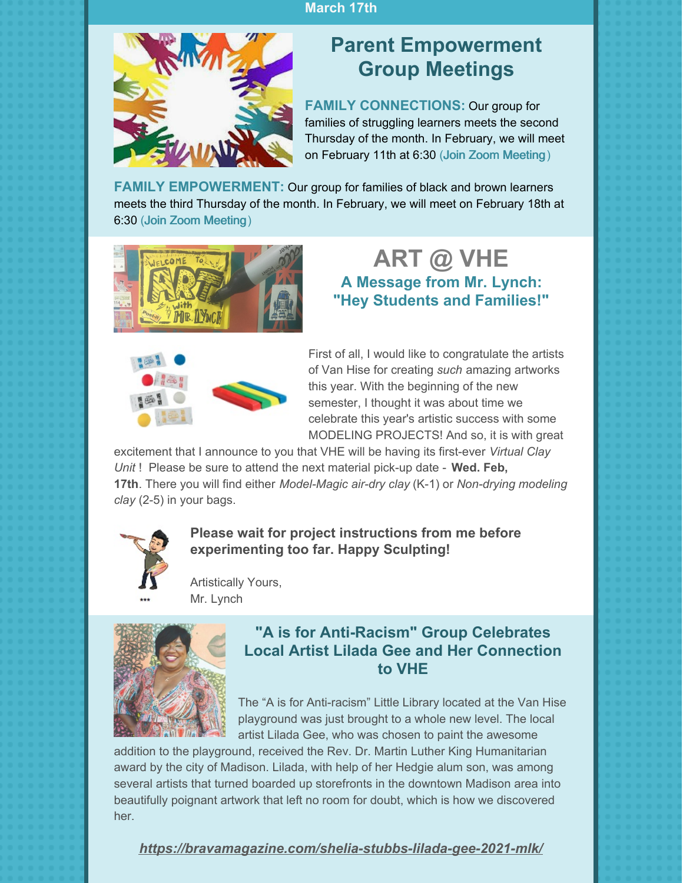## **March 17th**



# **Parent Empowerment Group Meetings**

**FAMILY CONNECTIONS:** Our group for families of struggling learners meets the second Thursday of the month. In February, we will meet on February 11th at 6:30 (Join Zoom [Meeting](https://zoom.us/j/97186141188))

**FAMILY EMPOWERMENT:** Our group for families of black and brown learners meets the third Thursday of the month. In February, we will meet on February 18th at 6:30 (Join Zoom [Meeting](https://zoom.us/j/91012527454))



# **ART @ VHE A Message from Mr. Lynch: "Hey Students and Families!"**



First of all, I would like to congratulate the artists of Van Hise for creating *such* amazing artworks this year. With the beginning of the new semester, I thought it was about time we celebrate this year's artistic success with some MODELING PROJECTS! And so, it is with great

excitement that I announce to you that VHE will be having its first-ever *Virtual Clay Unit* ! Please be sure to attend the next material pick-up date - **Wed. Feb, 17th**. There you will find either *Model-Magic air-dry clay* (K-1) or *Non-drying modeling clay* (2-5) in your bags.



**Please wait for project instructions from me before experimenting too far. Happy Sculpting!**

Artistically Yours, Mr. Lynch



# **"A is for Anti-Racism" Group Celebrates Local Artist Lilada Gee and Her Connection to VHE**

The "A is for Anti-racism" Little Library located at the Van Hise playground was just brought to a whole new level. The local artist Lilada Gee, who was chosen to paint the awesome

addition to the playground, received the Rev. Dr. Martin Luther King Humanitarian award by the city of Madison. Lilada, with help of her Hedgie alum son, was among several artists that turned boarded up storefronts in the downtown Madison area into beautifully poignant artwork that left no room for doubt, which is how we discovered her.

*<https://bravamagazine.com/shelia-stubbs-lilada-gee-2021-mlk/>*